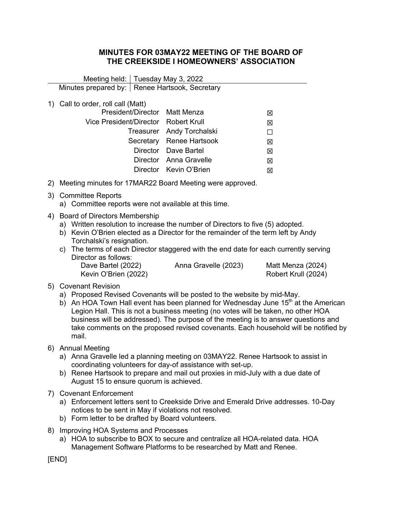## **MINUTES FOR 03MAY22 MEETING OF THE BOARD OF THE CREEKSIDE I HOMEOWNERS' ASSOCIATION**

|                                                  | Meeting held:   Tuesday May 3, 2022                                                                                                                                                                                                                                                                                                                                                                                                                                          |                          |                                          |
|--------------------------------------------------|------------------------------------------------------------------------------------------------------------------------------------------------------------------------------------------------------------------------------------------------------------------------------------------------------------------------------------------------------------------------------------------------------------------------------------------------------------------------------|--------------------------|------------------------------------------|
| Minutes prepared by:   Renee Hartsook, Secretary |                                                                                                                                                                                                                                                                                                                                                                                                                                                                              |                          |                                          |
|                                                  | 1) Call to order, roll call (Matt)                                                                                                                                                                                                                                                                                                                                                                                                                                           |                          |                                          |
|                                                  | President/Director                                                                                                                                                                                                                                                                                                                                                                                                                                                           | <b>Matt Menza</b>        | ⊠                                        |
|                                                  | Vice President/Director                                                                                                                                                                                                                                                                                                                                                                                                                                                      | <b>Robert Krull</b>      | 図                                        |
|                                                  | Treasurer                                                                                                                                                                                                                                                                                                                                                                                                                                                                    | Andy Torchalski          | П                                        |
|                                                  |                                                                                                                                                                                                                                                                                                                                                                                                                                                                              | Secretary Renee Hartsook | 区                                        |
|                                                  | Director                                                                                                                                                                                                                                                                                                                                                                                                                                                                     | Dave Bartel              | 区                                        |
|                                                  |                                                                                                                                                                                                                                                                                                                                                                                                                                                                              | Director Anna Gravelle   | 区                                        |
|                                                  |                                                                                                                                                                                                                                                                                                                                                                                                                                                                              | Director Kevin O'Brien   | 区                                        |
|                                                  | 2) Meeting minutes for 17MAR22 Board Meeting were approved.                                                                                                                                                                                                                                                                                                                                                                                                                  |                          |                                          |
|                                                  | 3) Committee Reports<br>a) Committee reports were not available at this time.                                                                                                                                                                                                                                                                                                                                                                                                |                          |                                          |
|                                                  | 4) Board of Directors Membership<br>a) Written resolution to increase the number of Directors to five (5) adopted.<br>b) Kevin O'Brien elected as a Director for the remainder of the term left by Andy<br>Torchalski's resignation.<br>c) The terms of each Director staggered with the end date for each currently serving<br>Director as follows:                                                                                                                         |                          |                                          |
|                                                  | Dave Bartel (2022)<br>Kevin O'Brien (2022)                                                                                                                                                                                                                                                                                                                                                                                                                                   | Anna Gravelle (2023)     | Matt Menza (2024)<br>Robert Krull (2024) |
|                                                  | 5) Covenant Revision<br>a) Proposed Revised Covenants will be posted to the website by mid-May.<br>b) An HOA Town Hall event has been planned for Wednesday June 15 <sup>th</sup> at the American<br>Legion Hall. This is not a business meeting (no votes will be taken, no other HOA<br>business will be addressed). The purpose of the meeting is to answer questions and<br>take comments on the proposed revised covenants. Each household will be notified by<br>mail. |                          |                                          |
|                                                  | 6) Annual Meeting<br>a) Anna Gravelle led a planning meeting on 03MAY22. Renee Hartsook to assist in<br>coordinating volunteers for day-of assistance with set-up.<br>b) Renee Hartsook to prepare and mail out proxies in mid-July with a due date of<br>August 15 to ensure quorum is achieved.                                                                                                                                                                            |                          |                                          |
|                                                  | 7) Covenant Enforcement<br>a) Enforcement letters sent to Creekside Drive and Emerald Drive addresses. 10-Day<br>notices to be sent in May if violations not resolved.<br>b) Form letter to be drafted by Board volunteers.                                                                                                                                                                                                                                                  |                          |                                          |
| 8)                                               | Improving HOA Systems and Processes                                                                                                                                                                                                                                                                                                                                                                                                                                          |                          |                                          |

a) HOA to subscribe to BOX to secure and centralize all HOA-related data. HOA Management Software Platforms to be researched by Matt and Renee.

[END]